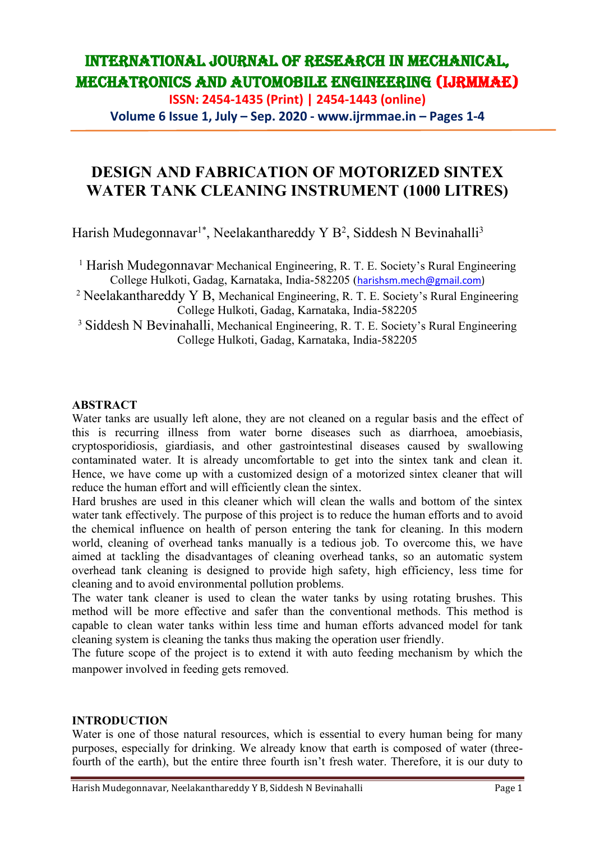**ISSN: 2454-1435 (Print) | 2454-1443 (online) Volume 6 Issue 1, July – Sep. 2020 - www.ijrmmae.in – Pages 1-4**

## **DESIGN AND FABRICATION OF MOTORIZED SINTEX WATER TANK CLEANING INSTRUMENT (1000 LITRES)**

Harish Mudegonnavar<sup>1\*</sup>, Neelakanthareddy Y B<sup>2</sup>, Siddesh N Bevinahalli<sup>3</sup>

<sup>1</sup> Harish Mudegonnavar<sup>,</sup> Mechanical Engineering, R. T. E. Society's Rural Engineering College Hulkoti, Gadag, Karnataka, India-582205 ([harishsm.mech@gmail.com\)](mailto:harishsm.mech@gmail.com)

<sup>2</sup> Neelakanthareddy Y B, Mechanical Engineering, R. T. E. Society's Rural Engineering College Hulkoti, Gadag, Karnataka, India-582205

<sup>3</sup> Siddesh N Bevinahalli, Mechanical Engineering, R. T. E. Society's Rural Engineering College Hulkoti, Gadag, Karnataka, India-582205

#### **ABSTRACT**

Water tanks are usually left alone, they are not cleaned on a regular basis and the effect of this is recurring illness from water borne diseases such as diarrhoea, amoebiasis, cryptosporidiosis, giardiasis, and other gastrointestinal diseases caused by swallowing contaminated water. It is already uncomfortable to get into the sintex tank and clean it. Hence, we have come up with a customized design of a motorized sintex cleaner that will reduce the human effort and will efficiently clean the sintex.

Hard brushes are used in this cleaner which will clean the walls and bottom of the sintex water tank effectively. The purpose of this project is to reduce the human efforts and to avoid the chemical influence on health of person entering the tank for cleaning. In this modern world, cleaning of overhead tanks manually is a tedious job. To overcome this, we have aimed at tackling the disadvantages of cleaning overhead tanks, so an automatic system overhead tank cleaning is designed to provide high safety, high efficiency, less time for cleaning and to avoid environmental pollution problems.

The water tank cleaner is used to clean the water tanks by using rotating brushes. This method will be more effective and safer than the conventional methods. This method is capable to clean water tanks within less time and human efforts advanced model for tank cleaning system is cleaning the tanks thus making the operation user friendly.

The future scope of the project is to extend it with auto feeding mechanism by which the manpower involved in feeding gets removed.

#### **INTRODUCTION**

Water is one of those natural resources, which is essential to every human being for many purposes, especially for drinking. We already know that earth is composed of water (threefourth of the earth), but the entire three fourth isn't fresh water. Therefore, it is our duty to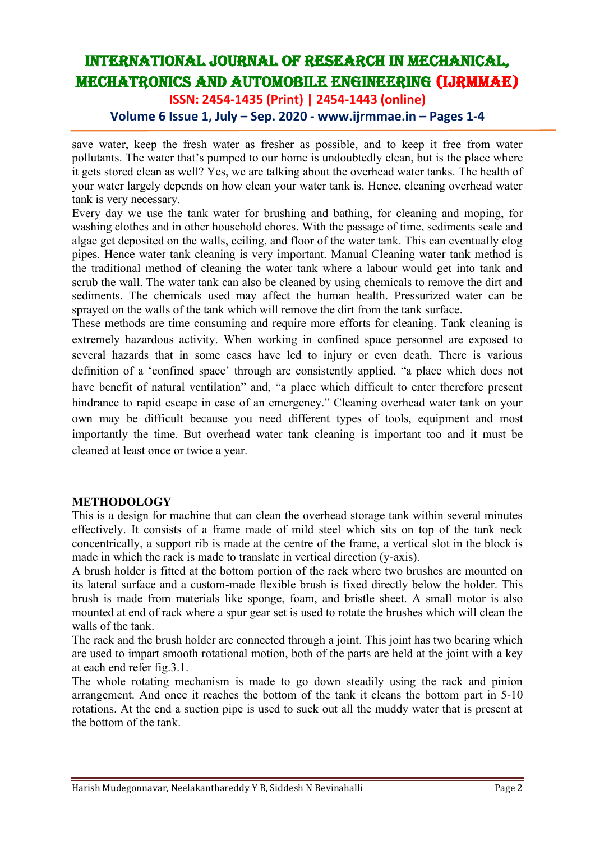**ISSN: 2454-1435 (Print) | 2454-1443 (online)**

### **Volume 6 Issue 1, July – Sep. 2020 - www.ijrmmae.in – Pages 1-4**

save water, keep the fresh water as fresher as possible, and to keep it free from water pollutants. The water that's pumped to our home is undoubtedly clean, but is the place where it gets stored clean as well? Yes, we are talking about the overhead water tanks. The health of your water largely depends on how clean your water tank is. Hence, cleaning overhead water tank is very necessary.

Every day we use the tank water for brushing and bathing, for cleaning and moping, for washing clothes and in other household chores. With the passage of time, sediments scale and algae get deposited on the walls, ceiling, and floor of the water tank. This can eventually clog pipes. Hence water tank cleaning is very important. Manual Cleaning water tank method is the traditional method of cleaning the water tank where a labour would get into tank and scrub the wall. The water tank can also be cleaned by using chemicals to remove the dirt and sediments. The chemicals used may affect the human health. Pressurized water can be sprayed on the walls of the tank which will remove the dirt from the tank surface.

These methods are time consuming and require more efforts for cleaning. Tank cleaning is extremely hazardous activity. When working in confined space personnel are exposed to several hazards that in some cases have led to injury or even death. There is various definition of a 'confined space' through are consistently applied. "a place which does not have benefit of natural ventilation" and, "a place which difficult to enter therefore present hindrance to rapid escape in case of an emergency." Cleaning overhead water tank on your own may be difficult because you need different types of tools, equipment and most importantly the time. But overhead water tank cleaning is important too and it must be cleaned at least once or twice a year.

#### **METHODOLOGY**

This is a design for machine that can clean the overhead storage tank within several minutes effectively. It consists of a frame made of mild steel which sits on top of the tank neck concentrically, a support rib is made at the centre of the frame, a vertical slot in the block is made in which the rack is made to translate in vertical direction (y-axis).

A brush holder is fitted at the bottom portion of the rack where two brushes are mounted on its lateral surface and a custom-made flexible brush is fixed directly below the holder. This brush is made from materials like sponge, foam, and bristle sheet. A small motor is also mounted at end of rack where a spur gear set is used to rotate the brushes which will clean the walls of the tank.

The rack and the brush holder are connected through a joint. This joint has two bearing which are used to impart smooth rotational motion, both of the parts are held at the joint with a key at each end refer fig.3.1.

The whole rotating mechanism is made to go down steadily using the rack and pinion arrangement. And once it reaches the bottom of the tank it cleans the bottom part in 5-10 rotations. At the end a suction pipe is used to suck out all the muddy water that is present at the bottom of the tank.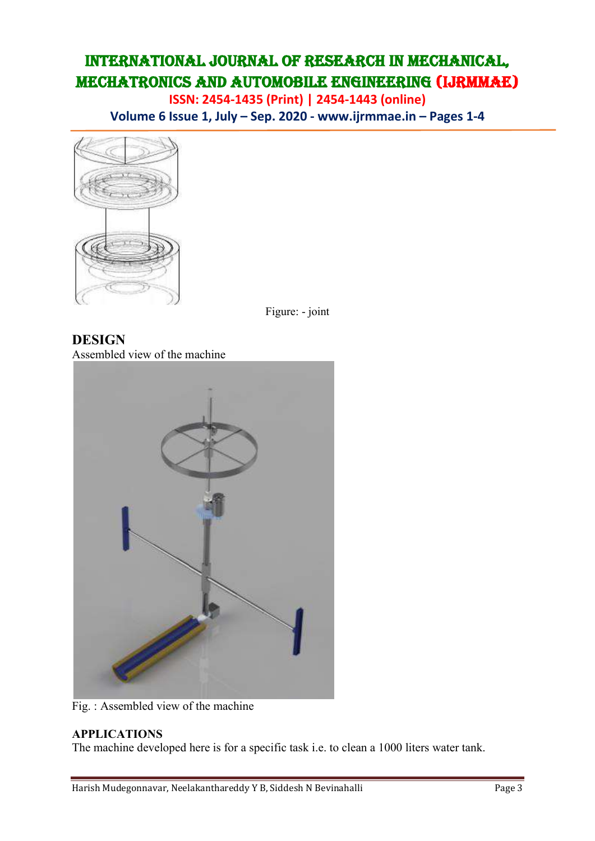**ISSN: 2454-1435 (Print) | 2454-1443 (online) Volume 6 Issue 1, July – Sep. 2020 - www.ijrmmae.in – Pages 1-4**



Figure: - joint

**DESIGN** Assembled view of the machine



Fig. : Assembled view of the machine

### **APPLICATIONS**

The machine developed here is for a specific task i.e. to clean a 1000 liters water tank.